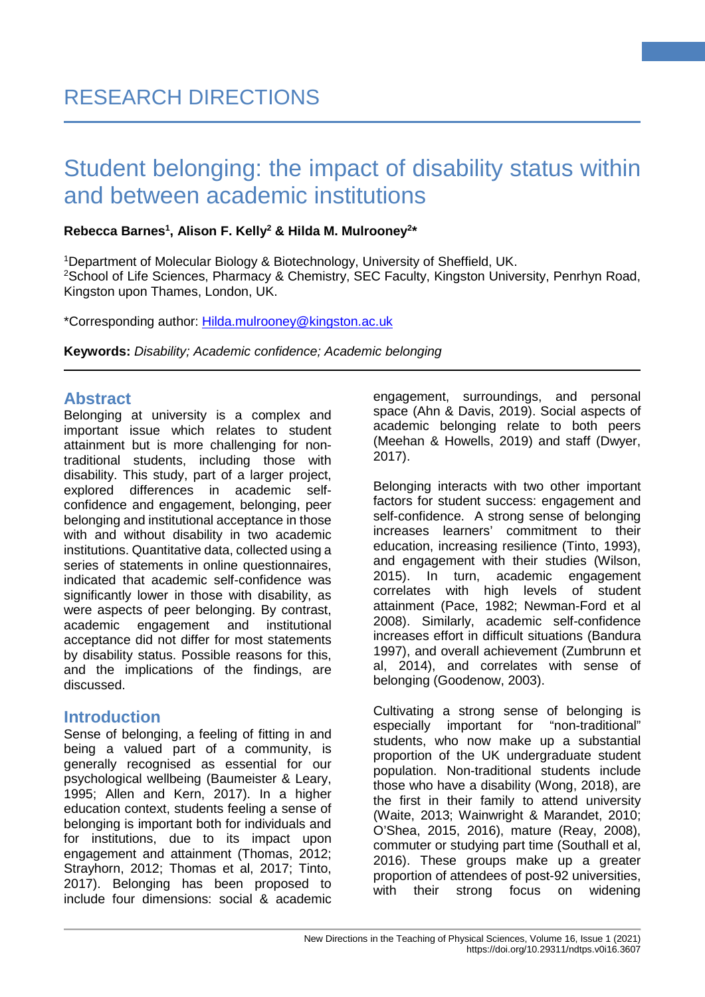## **Rebecca Barnes1 , Alison F. Kelly2 & Hilda M. Mulrooney2 \***

1 Department of Molecular Biology & Biotechnology, University of Sheffield, UK. <sup>2</sup>School of Life Sciences, Pharmacy & Chemistry, SEC Faculty, Kingston University, Penrhyn Road, Kingston upon Thames, London, UK.

\*Corresponding author: [Hilda.mulrooney@kingston.ac.uk](mailto:Hilda.mulrooney@kingston.ac.uk) 

**Keywords:** *Disability; Academic confidence; Academic belonging*

## **Abstract**

Belonging at university is a complex and important issue which relates to student attainment but is more challenging for nontraditional students, including those with disability. This study, part of a larger project, explored differences in academic selfconfidence and engagement, belonging, peer belonging and institutional acceptance in those with and without disability in two academic institutions. Quantitative data, collected using a series of statements in online questionnaires. indicated that academic self-confidence was significantly lower in those with disability, as were aspects of peer belonging. By contrast, academic engagement and institutional acceptance did not differ for most statements by disability status. Possible reasons for this, and the implications of the findings, are discussed.

# **Introduction**

Sense of belonging, a feeling of fitting in and being a valued part of a community, is generally recognised as essential for our psychological wellbeing (Baumeister & Leary, 1995; Allen and Kern, 2017). In a higher education context, students feeling a sense of belonging is important both for individuals and for institutions, due to its impact upon engagement and attainment (Thomas, 2012; Strayhorn, 2012; Thomas et al, 2017; Tinto, 2017). Belonging has been proposed to include four dimensions: social & academic

engagement, surroundings, and personal space (Ahn & Davis, 2019). Social aspects of academic belonging relate to both peers (Meehan & Howells, 2019) and staff (Dwyer, 2017).

**1**

Belonging interacts with two other important factors for student success: engagement and self-confidence. A strong sense of belonging increases learners' commitment to their education, increasing resilience (Tinto, 1993), and engagement with their studies (Wilson, 2015). In turn, academic engagement correlates with high levels of student attainment (Pace, 1982; Newman-Ford et al 2008). Similarly, academic self-confidence increases effort in difficult situations (Bandura 1997), and overall achievement (Zumbrunn et al, 2014), and correlates with sense of belonging (Goodenow, 2003).

Cultivating a strong sense of belonging is especially important for "non-traditional" students, who now make up a substantial proportion of the UK undergraduate student population. Non-traditional students include those who have a disability (Wong, 2018), are the first in their family to attend university (Waite, 2013; Wainwright & Marandet, 2010; O'Shea, 2015, 2016), mature (Reay, 2008), commuter or studying part time (Southall et al, 2016). These groups make up a greater proportion of attendees of post-92 universities, with their strong focus on widening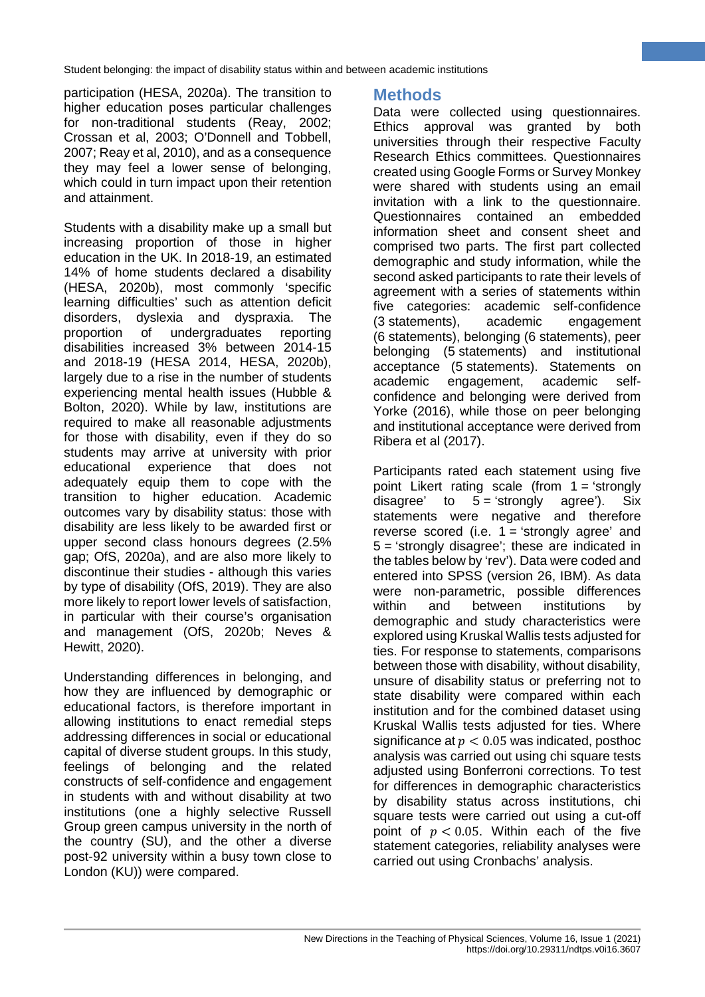participation (HESA, 2020a). The transition to higher education poses particular challenges for non-traditional students (Reay, 2002; Crossan et al, 2003; O'Donnell and Tobbell, 2007; Reay et al, 2010), and as a consequence they may feel a lower sense of belonging, which could in turn impact upon their retention and attainment.

Students with a disability make up a small but increasing proportion of those in higher education in the UK. In 2018-19, an estimated 14% of home students declared a disability (HESA, 2020b), most commonly 'specific learning difficulties' such as attention deficit disorders, dyslexia and dyspraxia. The proportion of undergraduates reporting disabilities increased 3% between 2014-15 and 2018-19 (HESA 2014, HESA, 2020b), largely due to a rise in the number of students experiencing mental health issues (Hubble & Bolton, 2020). While by law, institutions are required to make all reasonable adjustments for those with disability, even if they do so students may arrive at university with prior educational experience that does not adequately equip them to cope with the transition to higher education. Academic outcomes vary by disability status: those with disability are less likely to be awarded first or upper second class honours degrees (2.5% gap; OfS, 2020a), and are also more likely to discontinue their studies - although this varies by type of disability (OfS, 2019). They are also more likely to report lower levels of satisfaction, in particular with their course's organisation and management (OfS, 2020b; Neves & Hewitt, 2020).

Understanding differences in belonging, and how they are influenced by demographic or educational factors, is therefore important in allowing institutions to enact remedial steps addressing differences in social or educational capital of diverse student groups. In this study, feelings of belonging and the related constructs of self-confidence and engagement in students with and without disability at two institutions (one a highly selective Russell Group green campus university in the north of the country (SU), and the other a diverse post-92 university within a busy town close to London (KU)) were compared.

# **Methods**

Data were collected using questionnaires. Ethics approval was granted by both universities through their respective Faculty Research Ethics committees. Questionnaires created using Google Forms or Survey Monkey were shared with students using an email invitation with a link to the questionnaire. Questionnaires contained an embedded information sheet and consent sheet and comprised two parts. The first part collected demographic and study information, while the second asked participants to rate their levels of agreement with a series of statements within five categories: academic self-confidence (3 statements), academic engagement (6 statements), belonging (6 statements), peer belonging (5 statements) and institutional acceptance (5 statements). Statements on academic engagement, academic selfconfidence and belonging were derived from Yorke (2016), while those on peer belonging and institutional acceptance were derived from Ribera et al (2017).

**2**

Participants rated each statement using five point Likert rating scale (from 1 = 'strongly disagree' to  $5 = 'strong$  agree'). Six statements were negative and therefore reverse scored (i.e.  $1 =$  'strongly agree' and 5 = 'strongly disagree'; these are indicated in the tables below by 'rev'). Data were coded and entered into SPSS (version 26, IBM). As data were non-parametric, possible differences within and between institutions by demographic and study characteristics were explored using Kruskal Wallis tests adjusted for ties. For response to statements, comparisons between those with disability, without disability, unsure of disability status or preferring not to state disability were compared within each institution and for the combined dataset using Kruskal Wallis tests adjusted for ties. Where significance at  $p < 0.05$  was indicated, posthoc analysis was carried out using chi square tests adjusted using Bonferroni corrections. To test for differences in demographic characteristics by disability status across institutions, chi square tests were carried out using a cut-off point of  $p < 0.05$ . Within each of the five statement categories, reliability analyses were carried out using Cronbachs' analysis.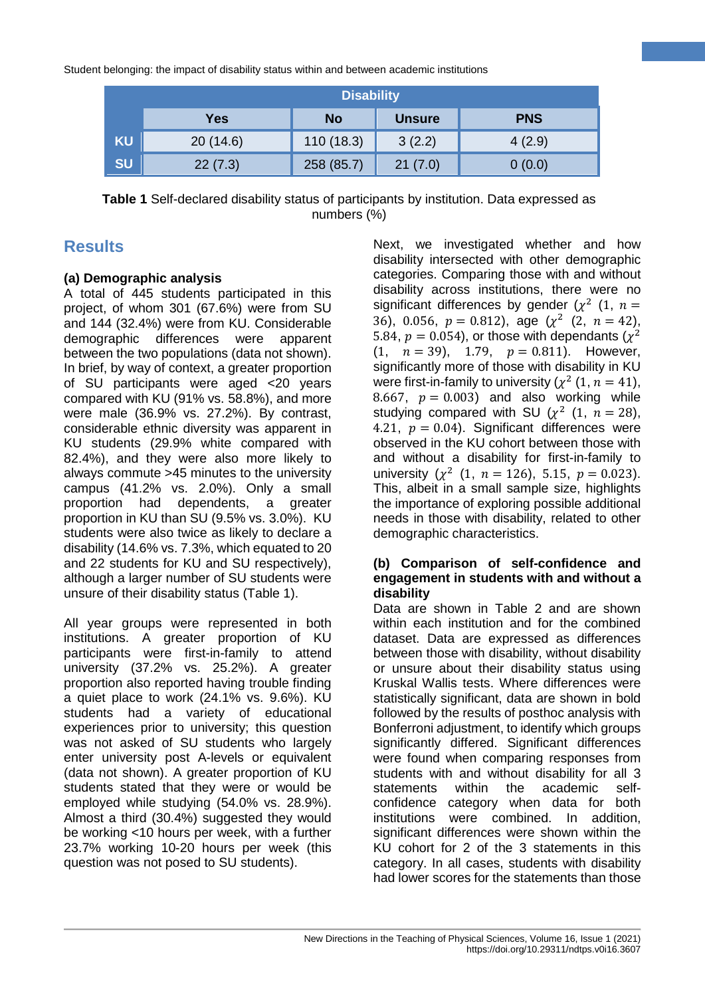|           | <b>Disability</b> |            |               |            |  |  |  |
|-----------|-------------------|------------|---------------|------------|--|--|--|
|           | Yes               | <b>No</b>  | <b>Unsure</b> | <b>PNS</b> |  |  |  |
| <b>KU</b> | 20(14.6)          | 110(18.3)  | 3(2.2)        | 4(2.9)     |  |  |  |
| <b>SU</b> | 22(7.3)           | 258 (85.7) | 21(7.0)       | 0(0.0)     |  |  |  |

**Table 1** Self-declared disability status of participants by institution. Data expressed as numbers (%)

# **Results**

## **(a) Demographic analysis**

A total of 445 students participated in this project, of whom 301 (67.6%) were from SU and 144 (32.4%) were from KU. Considerable demographic differences were apparent between the two populations (data not shown). In brief, by way of context, a greater proportion of SU participants were aged <20 years compared with KU (91% vs. 58.8%), and more were male (36.9% vs. 27.2%). By contrast, considerable ethnic diversity was apparent in KU students (29.9% white compared with 82.4%), and they were also more likely to always commute >45 minutes to the university campus (41.2% vs. 2.0%). Only a small proportion had dependents, a greater proportion in KU than SU (9.5% vs. 3.0%). KU students were also twice as likely to declare a disability (14.6% vs. 7.3%, which equated to 20 and 22 students for KU and SU respectively), although a larger number of SU students were unsure of their disability status (Table 1).

All year groups were represented in both institutions. A greater proportion of KU participants were first-in-family to attend university (37.2% vs. 25.2%). A greater proportion also reported having trouble finding a quiet place to work (24.1% vs. 9.6%). KU students had a variety of educational experiences prior to university; this question was not asked of SU students who largely enter university post A-levels or equivalent (data not shown). A greater proportion of KU students stated that they were or would be employed while studying (54.0% vs. 28.9%). Almost a third (30.4%) suggested they would be working <10 hours per week, with a further 23.7% working 10-20 hours per week (this question was not posed to SU students).

Next, we investigated whether and how disability intersected with other demographic categories. Comparing those with and without disability across institutions, there were no significant differences by gender ( $\chi^2$  (1,  $n=$ 36), 0.056,  $p = 0.812$ ), age  $(\chi^2 \ (2, n = 42))$ 5.84,  $p = 0.054$ ), or those with dependants ( $\chi^2$ )  $(1, n = 39), 1.79, p = 0.811$ . However, significantly more of those with disability in KU were first-in-family to university ( $\chi^2$  (1,  $n = 41$ ), 8.667,  $p = 0.003$  and also working while studying compared with SU ( $\chi^2$  (1,  $n = 28$ ), 4.21,  $p = 0.04$ . Significant differences were observed in the KU cohort between those with and without a disability for first-in-family to university ( $\chi^2$  (1,  $n = 126$ ), 5.15,  $p = 0.023$ ). This, albeit in a small sample size, highlights the importance of exploring possible additional needs in those with disability, related to other demographic characteristics.

**3**

#### **(b) Comparison of self-confidence and engagement in students with and without a disability**

Data are shown in Table 2 and are shown within each institution and for the combined dataset. Data are expressed as differences between those with disability, without disability or unsure about their disability status using Kruskal Wallis tests. Where differences were statistically significant, data are shown in bold followed by the results of posthoc analysis with Bonferroni adjustment, to identify which groups significantly differed. Significant differences were found when comparing responses from students with and without disability for all 3 statements within the academic selfconfidence category when data for both institutions were combined. In addition, significant differences were shown within the KU cohort for 2 of the 3 statements in this category. In all cases, students with disability had lower scores for the statements than those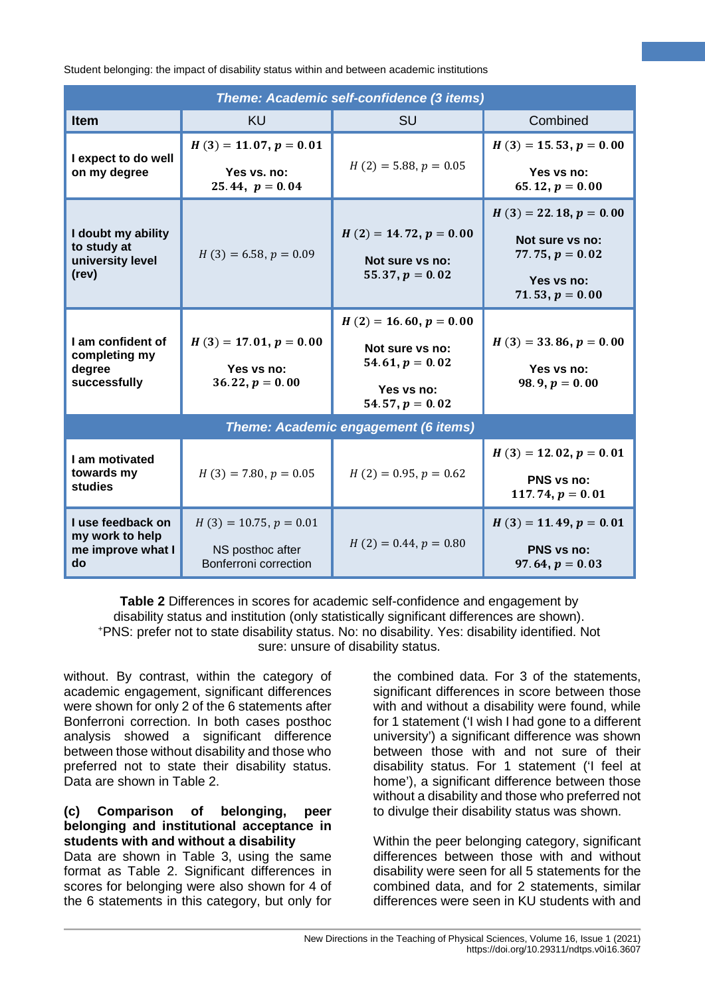| Theme: Academic self-confidence (3 items)                       |                                                                       |                                                                                                     |                                                                                                     |  |  |  |
|-----------------------------------------------------------------|-----------------------------------------------------------------------|-----------------------------------------------------------------------------------------------------|-----------------------------------------------------------------------------------------------------|--|--|--|
| <b>Item</b>                                                     | KU                                                                    | <b>SU</b>                                                                                           | Combined                                                                                            |  |  |  |
| I expect to do well                                             | $H(3) = 11.07, p = 0.01$                                              | $H(2) = 5.88, p = 0.05$                                                                             | $H(3) = 15.53, p = 0.00$                                                                            |  |  |  |
| on my degree                                                    | Yes vs. no:<br>25.44, $p = 0.04$                                      |                                                                                                     | Yes vs no:<br>65.12, $p = 0.00$                                                                     |  |  |  |
| I doubt my ability<br>to study at<br>university level<br>(rev)  | $H(3) = 6.58, p = 0.09$                                               | $H(2) = 14.72, p = 0.00$<br>Not sure vs no:<br>55.37, $p = 0.02$                                    | $H(3) = 22.18, p = 0.00$<br>Not sure vs no:<br>77.75, $p = 0.02$<br>Yes vs no:<br>71.53, $p = 0.00$ |  |  |  |
| I am confident of<br>completing my<br>degree<br>successfully    | $H(3) = 17.01, p = 0.00$<br>Yes vs no:<br>$36.22, p = 0.00$           | $H(2) = 16.60, p = 0.00$<br>Not sure vs no:<br>54.61, $p = 0.02$<br>Yes vs no:<br>54.57, $p = 0.02$ | $H(3) = 33.86, p = 0.00$<br>Yes vs no:<br>98.9, $p = 0.00$                                          |  |  |  |
| <b>Theme: Academic engagement (6 items)</b>                     |                                                                       |                                                                                                     |                                                                                                     |  |  |  |
| I am motivated<br>towards my<br>studies                         | $H(3) = 7.80, p = 0.05$                                               | $H(2) = 0.95, p = 0.62$                                                                             | $H(3) = 12.02, p = 0.01$<br><b>PNS vs no:</b><br>117.74, $p = 0.01$                                 |  |  |  |
| I use feedback on<br>my work to help<br>me improve what I<br>do | $H(3) = 10.75, p = 0.01$<br>NS posthoc after<br>Bonferroni correction | $H(2) = 0.44, p = 0.80$                                                                             | $H(3) = 11.49, p = 0.01$<br><b>PNS vs no:</b><br>$97.64, p = 0.03$                                  |  |  |  |

**Table 2** Differences in scores for academic self-confidence and engagement by disability status and institution (only statistically significant differences are shown). +PNS: prefer not to state disability status. No: no disability. Yes: disability identified. Not sure: unsure of disability status.

without. By contrast, within the category of academic engagement, significant differences were shown for only 2 of the 6 statements after Bonferroni correction. In both cases posthoc analysis showed a significant difference between those without disability and those who preferred not to state their disability status. Data are shown in Table 2.

### **(c) Comparison of belonging, peer belonging and institutional acceptance in students with and without a disability**

Data are shown in Table 3, using the same format as Table 2. Significant differences in scores for belonging were also shown for 4 of the 6 statements in this category, but only for the combined data. For 3 of the statements, significant differences in score between those with and without a disability were found, while for 1 statement ('I wish I had gone to a different university') a significant difference was shown between those with and not sure of their disability status. For 1 statement ('I feel at home'), a significant difference between those without a disability and those who preferred not to divulge their disability status was shown.

**4**

Within the peer belonging category, significant differences between those with and without disability were seen for all 5 statements for the combined data, and for 2 statements, similar differences were seen in KU students with and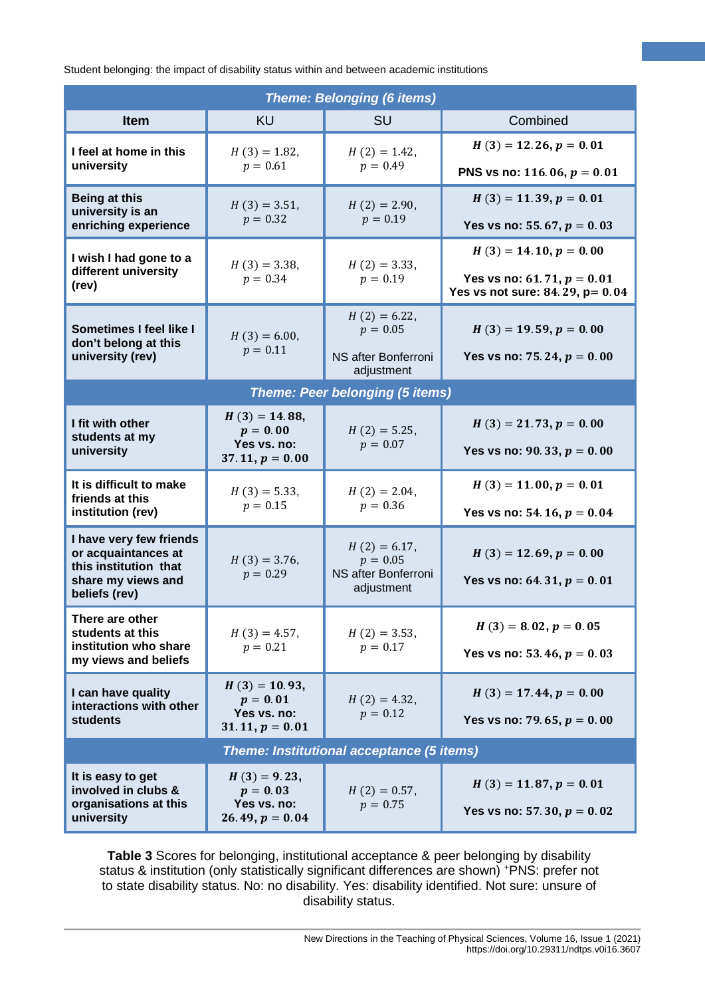| <b>Theme: Belonging (6 items)</b>                                               |                                                                   |                                                                    |                                                                    |  |  |  |  |
|---------------------------------------------------------------------------------|-------------------------------------------------------------------|--------------------------------------------------------------------|--------------------------------------------------------------------|--|--|--|--|
| <b>Item</b>                                                                     | <b>KU</b>                                                         | <b>SU</b>                                                          | Combined                                                           |  |  |  |  |
| I feel at home in this                                                          | $H(3) = 1.82$ ,<br>$p = 0.61$                                     | $H(2) = 1.42$ ,<br>$p = 0.49$                                      | $H(3) = 12.26, p = 0.01$                                           |  |  |  |  |
| university                                                                      |                                                                   |                                                                    | PNS vs no: 116.06, $p = 0.01$                                      |  |  |  |  |
| Being at this                                                                   | $H(3) = 3.51$ ,<br>$p = 0.32$                                     | $H(2) = 2.90$ ,<br>$p = 0.19$                                      | $H(3) = 11.39, p = 0.01$                                           |  |  |  |  |
| university is an<br>enriching experience                                        |                                                                   |                                                                    | Yes vs no: 55.67, $p = 0.03$                                       |  |  |  |  |
| I wish I had gone to a                                                          | $H(3) = 3.38$ ,<br>$p = 0.34$                                     | $H(2) = 3.33$ ,<br>$p = 0.19$                                      | $H(3) = 14.10, p = 0.00$                                           |  |  |  |  |
| different university<br>(rev)                                                   |                                                                   |                                                                    | Yes vs no: 61.71, $p = 0.01$<br>Yes vs not sure: 84.29, $p = 0.04$ |  |  |  |  |
| Sometimes I feel like I<br>don't belong at this                                 | $H(3) = 6.00,$<br>$p = 0.11$                                      | $H(2) = 6.22$ ,<br>$p = 0.05$                                      | $H(3) = 19.59, p = 0.00$                                           |  |  |  |  |
| university (rev)                                                                |                                                                   | NS after Bonferroni<br>adjustment                                  | Yes vs no: 75.24, $p = 0.00$                                       |  |  |  |  |
| <b>Theme: Peer belonging (5 items)</b>                                          |                                                                   |                                                                    |                                                                    |  |  |  |  |
| I fit with other                                                                | $H(3) = 14.88$ ,<br>$p = 0.00$                                    | $H(2) = 5.25$ ,<br>$p = 0.07$                                      | $H(3) = 21.73, p = 0.00$                                           |  |  |  |  |
| students at my<br>university                                                    | Yes vs. no:<br>$37.11, p = 0.00$                                  |                                                                    | Yes vs no: 90.33, $p = 0.00$                                       |  |  |  |  |
| It is difficult to make<br>friends at this                                      | $H(3) = 5.33$ ,<br>$p = 0.15$                                     | $H(2) = 2.04$ ,<br>$p = 0.36$                                      | $H(3) = 11.00, p = 0.01$                                           |  |  |  |  |
| institution (rev)                                                               |                                                                   |                                                                    | Yes vs no: 54.16, $p = 0.04$                                       |  |  |  |  |
| I have very few friends<br>or acquaintances at                                  | $H(3) = 3.76$ ,<br>$p = 0.29$                                     | $H(2) = 6.17$ ,<br>$p = 0.05$<br>NS after Bonferroni<br>adjustment | $H(3) = 12.69, p = 0.00$                                           |  |  |  |  |
| this institution that<br>share my views and                                     |                                                                   |                                                                    | Yes vs no: 64.31, $p = 0.01$                                       |  |  |  |  |
| beliefs (rev)                                                                   |                                                                   |                                                                    |                                                                    |  |  |  |  |
| There are other<br>students at this                                             | $H(3) = 4.57$ ,                                                   | $H(2) = 3.53$ ,<br>$p = 0.17$                                      | $H(3) = 8.02, p = 0.05$                                            |  |  |  |  |
| institution who share<br>my views and beliefs                                   | $p = 0.21$                                                        |                                                                    | Yes vs no: 53.46, $p = 0.03$                                       |  |  |  |  |
| I can have quality                                                              | $H(3) = 10.93,$<br>$p = 0.01$                                     | $H(2) = 4.32$ ,<br>$p = 0.12$                                      | $H(3) = 17.44, p = 0.00$                                           |  |  |  |  |
| interactions with other<br><b>students</b>                                      | Yes vs. no:<br>$31.11, p = 0.01$                                  |                                                                    | Yes vs no: 79.65, $p = 0.00$                                       |  |  |  |  |
| Theme: Institutional acceptance (5 items)                                       |                                                                   |                                                                    |                                                                    |  |  |  |  |
| It is easy to get<br>involved in clubs &<br>organisations at this<br>university | $H(3) = 9.23$ ,<br>$p = 0.03$<br>Yes vs. no:<br>$26.49, p = 0.04$ | $H(2) = 0.57$ ,<br>$p = 0.75$                                      | $H(3) = 11.87, p = 0.01$<br>Yes vs no: 57.30, $p = 0.02$           |  |  |  |  |

**Table 3** Scores for belonging, institutional acceptance & peer belonging by disability status & institution (only statistically significant differences are shown) +PNS: prefer not to state disability status. No: no disability. Yes: disability identified. Not sure: unsure of disability status.

**5**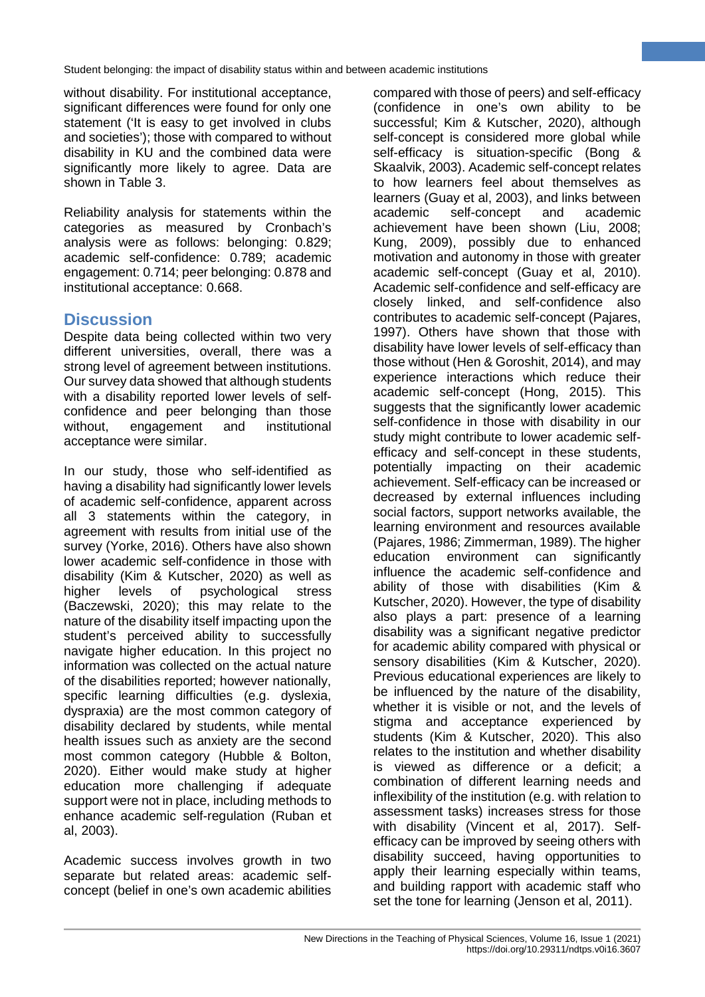without disability. For institutional acceptance, significant differences were found for only one statement ('It is easy to get involved in clubs and societies'); those with compared to without disability in KU and the combined data were significantly more likely to agree. Data are shown in Table 3.

Reliability analysis for statements within the categories as measured by Cronbach's analysis were as follows: belonging: 0.829; academic self-confidence: 0.789; academic engagement: 0.714; peer belonging: 0.878 and institutional acceptance: 0.668.

# **Discussion**

Despite data being collected within two very different universities, overall, there was a strong level of agreement between institutions. Our survey data showed that although students with a disability reported lower levels of selfconfidence and peer belonging than those without, engagement and institutional acceptance were similar.

In our study, those who self-identified as having a disability had significantly lower levels of academic self-confidence, apparent across all 3 statements within the category, in agreement with results from initial use of the survey (Yorke, 2016). Others have also shown lower academic self-confidence in those with disability (Kim & Kutscher, 2020) as well as higher levels of psychological stress (Baczewski, 2020); this may relate to the nature of the disability itself impacting upon the student's perceived ability to successfully navigate higher education. In this project no information was collected on the actual nature of the disabilities reported; however nationally, specific learning difficulties (e.g. dyslexia, dyspraxia) are the most common category of disability declared by students, while mental health issues such as anxiety are the second most common category (Hubble & Bolton, 2020). Either would make study at higher education more challenging if adequate support were not in place, including methods to enhance academic self-regulation (Ruban et al, 2003).

Academic success involves growth in two separate but related areas: academic selfconcept (belief in one's own academic abilities

compared with those of peers) and self-efficacy (confidence in one's own ability to be successful; Kim & Kutscher, 2020), although self-concept is considered more global while self-efficacy is situation-specific (Bong & Skaalvik, 2003). Academic self-concept relates to how learners feel about themselves as learners (Guay et al, 2003), and links between academic self-concept and academic achievement have been shown (Liu, 2008; Kung, 2009), possibly due to enhanced motivation and autonomy in those with greater academic self-concept (Guay et al, 2010). Academic self-confidence and self-efficacy are closely linked, and self-confidence also contributes to academic self-concept (Pajares, 1997). Others have shown that those with disability have lower levels of self-efficacy than those without (Hen & Goroshit, 2014), and may experience interactions which reduce their academic self-concept (Hong, 2015). This suggests that the significantly lower academic self-confidence in those with disability in our study might contribute to lower academic selfefficacy and self-concept in these students, potentially impacting on their academic achievement. Self-efficacy can be increased or decreased by external influences including social factors, support networks available, the learning environment and resources available (Pajares, 1986; Zimmerman, 1989). The higher education environment can significantly influence the academic self-confidence and ability of those with disabilities (Kim & Kutscher, 2020). However, the type of disability also plays a part: presence of a learning disability was a significant negative predictor for academic ability compared with physical or sensory disabilities (Kim & Kutscher, 2020). Previous educational experiences are likely to be influenced by the nature of the disability, whether it is visible or not, and the levels of stigma and acceptance experienced by students (Kim & Kutscher, 2020). This also relates to the institution and whether disability is viewed as difference or a deficit; a combination of different learning needs and inflexibility of the institution (e.g. with relation to assessment tasks) increases stress for those with disability (Vincent et al, 2017). Selfefficacy can be improved by seeing others with disability succeed, having opportunities to apply their learning especially within teams, and building rapport with academic staff who set the tone for learning (Jenson et al, 2011).

**6**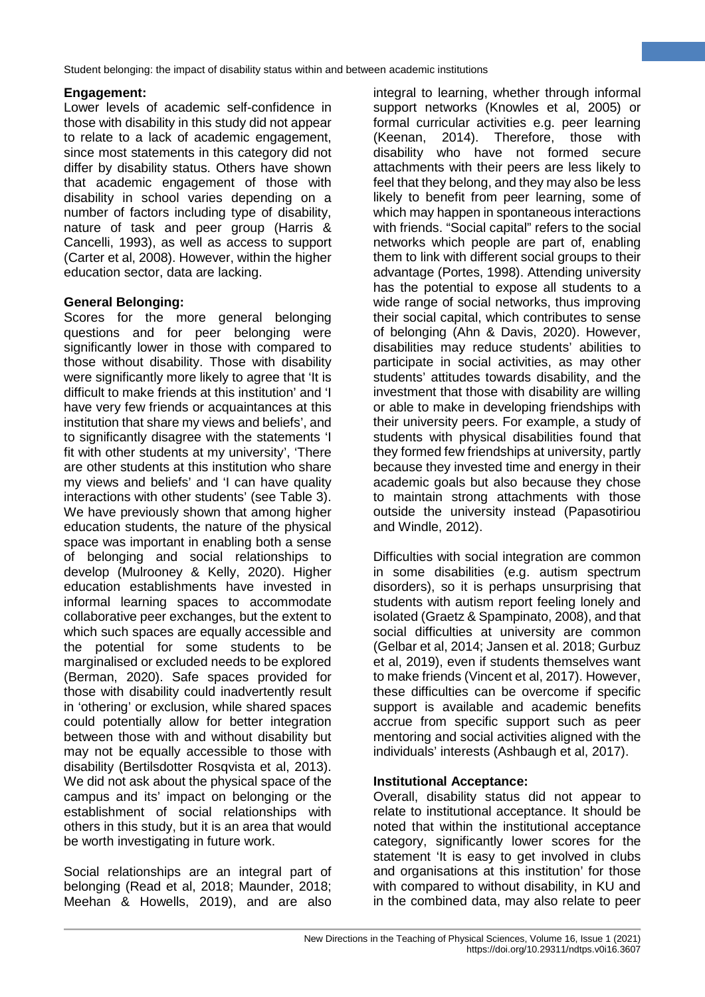# **Engagement:**

Lower levels of academic self-confidence in those with disability in this study did not appear to relate to a lack of academic engagement, since most statements in this category did not differ by disability status. Others have shown that academic engagement of those with disability in school varies depending on a number of factors including type of disability, nature of task and peer group (Harris & Cancelli, 1993), as well as access to support (Carter et al, 2008). However, within the higher education sector, data are lacking.

# **General Belonging:**

Scores for the more general belonging questions and for peer belonging were significantly lower in those with compared to those without disability. Those with disability were significantly more likely to agree that 'It is difficult to make friends at this institution' and 'I have very few friends or acquaintances at this institution that share my views and beliefs', and to significantly disagree with the statements 'I fit with other students at my university', 'There are other students at this institution who share my views and beliefs' and 'I can have quality interactions with other students' (see Table 3). We have previously shown that among higher education students, the nature of the physical space was important in enabling both a sense of belonging and social relationships to develop (Mulrooney & Kelly, 2020). Higher education establishments have invested in informal learning spaces to accommodate collaborative peer exchanges, but the extent to which such spaces are equally accessible and the potential for some students to be marginalised or excluded needs to be explored (Berman, 2020). Safe spaces provided for those with disability could inadvertently result in 'othering' or exclusion, while shared spaces could potentially allow for better integration between those with and without disability but may not be equally accessible to those with disability (Bertilsdotter Rosqvista et al, 2013). We did not ask about the physical space of the campus and its' impact on belonging or the establishment of social relationships with others in this study, but it is an area that would be worth investigating in future work.

Social relationships are an integral part of belonging (Read et al, 2018; Maunder, 2018; Meehan & Howells, 2019), and are also integral to learning, whether through informal support networks (Knowles et al, 2005) or formal curricular activities e.g. peer learning (Keenan, 2014). Therefore, those with disability who have not formed secure attachments with their peers are less likely to feel that they belong, and they may also be less likely to benefit from peer learning, some of which may happen in spontaneous interactions with friends. "Social capital" refers to the social networks which people are part of, enabling them to link with different social groups to their advantage (Portes, 1998). Attending university has the potential to expose all students to a wide range of social networks, thus improving their social capital, which contributes to sense of belonging (Ahn & Davis, 2020). However, disabilities may reduce students' abilities to participate in social activities, as may other students' attitudes towards disability, and the investment that those with disability are willing or able to make in developing friendships with their university peers. For example, a study of students with physical disabilities found that they formed few friendships at university, partly because they invested time and energy in their academic goals but also because they chose to maintain strong attachments with those outside the university instead (Papasotiriou and Windle, 2012).

**7**

Difficulties with social integration are common in some disabilities (e.g. autism spectrum disorders), so it is perhaps unsurprising that students with autism report feeling lonely and isolated (Graetz & Spampinato, 2008), and that social difficulties at university are common (Gelbar et al, 2014; Jansen et al. 2018; Gurbuz et al, 2019), even if students themselves want to make friends (Vincent et al, 2017). However, these difficulties can be overcome if specific support is available and academic benefits accrue from specific support such as peer mentoring and social activities aligned with the individuals' interests (Ashbaugh et al, 2017).

## **Institutional Acceptance:**

Overall, disability status did not appear to relate to institutional acceptance. It should be noted that within the institutional acceptance category, significantly lower scores for the statement 'It is easy to get involved in clubs and organisations at this institution' for those with compared to without disability, in KU and in the combined data, may also relate to peer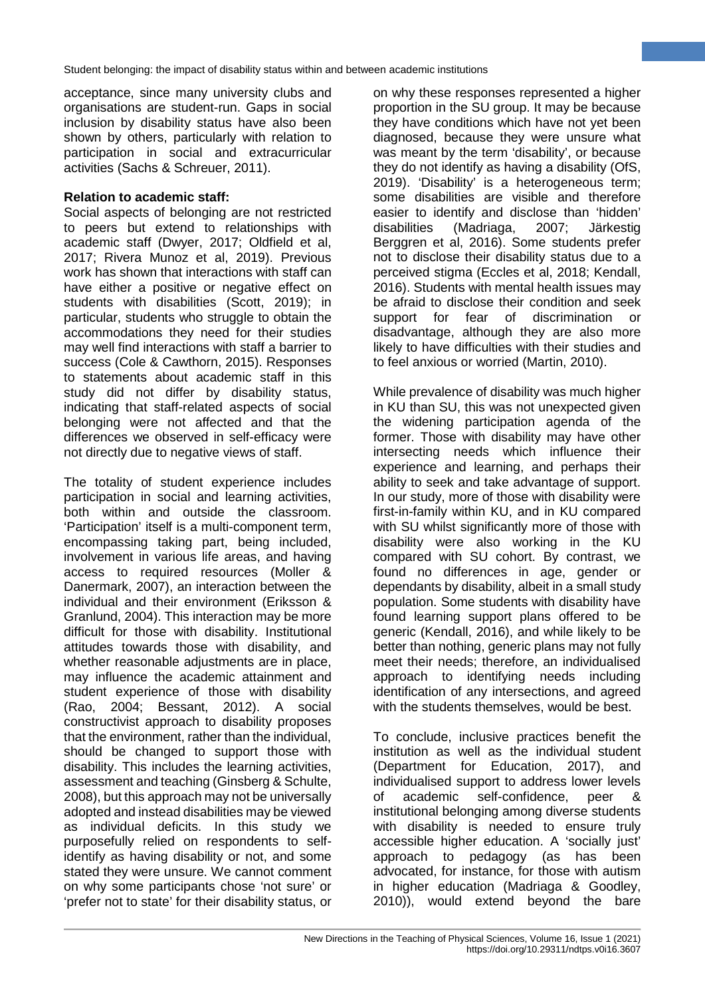acceptance, since many university clubs and organisations are student-run. Gaps in social inclusion by disability status have also been shown by others, particularly with relation to participation in social and extracurricular activities (Sachs & Schreuer, 2011).

#### **Relation to academic staff:**

Social aspects of belonging are not restricted to peers but extend to relationships with academic staff (Dwyer, 2017; Oldfield et al, 2017; Rivera Munoz et al, 2019). Previous work has shown that interactions with staff can have either a positive or negative effect on students with disabilities (Scott, 2019); in particular, students who struggle to obtain the accommodations they need for their studies may well find interactions with staff a barrier to success (Cole & Cawthorn, 2015). Responses to statements about academic staff in this study did not differ by disability status, indicating that staff-related aspects of social belonging were not affected and that the differences we observed in self-efficacy were not directly due to negative views of staff.

The totality of student experience includes participation in social and learning activities, both within and outside the classroom. 'Participation' itself is a multi-component term, encompassing taking part, being included, involvement in various life areas, and having access to required resources (Moller & Danermark, 2007), an interaction between the individual and their environment (Eriksson & Granlund, 2004). This interaction may be more difficult for those with disability. Institutional attitudes towards those with disability, and whether reasonable adjustments are in place, may influence the academic attainment and student experience of those with disability (Rao, 2004; Bessant, 2012). A social constructivist approach to disability proposes that the environment, rather than the individual, should be changed to support those with disability. This includes the learning activities, assessment and teaching (Ginsberg & Schulte, 2008), but this approach may not be universally adopted and instead disabilities may be viewed as individual deficits. In this study we purposefully relied on respondents to selfidentify as having disability or not, and some stated they were unsure. We cannot comment on why some participants chose 'not sure' or 'prefer not to state' for their disability status, or

on why these responses represented a higher proportion in the SU group. It may be because they have conditions which have not yet been diagnosed, because they were unsure what was meant by the term 'disability', or because they do not identify as having a disability (OfS, 2019). 'Disability' is a heterogeneous term; some disabilities are visible and therefore easier to identify and disclose than 'hidden' disabilities (Madriaga, 2007; Järkestig Berggren et al, 2016). Some students prefer not to disclose their disability status due to a perceived stigma (Eccles et al, 2018; Kendall, 2016). Students with mental health issues may be afraid to disclose their condition and seek support for fear of discrimination or disadvantage, although they are also more likely to have difficulties with their studies and to feel anxious or worried (Martin, 2010).

**8**

While prevalence of disability was much higher in KU than SU, this was not unexpected given the widening participation agenda of the former. Those with disability may have other intersecting needs which influence their experience and learning, and perhaps their ability to seek and take advantage of support. In our study, more of those with disability were first-in-family within KU, and in KU compared with SU whilst significantly more of those with disability were also working in the KU compared with SU cohort. By contrast, we found no differences in age, gender or dependants by disability, albeit in a small study population. Some students with disability have found learning support plans offered to be generic (Kendall, 2016), and while likely to be better than nothing, generic plans may not fully meet their needs; therefore, an individualised approach to identifying needs including identification of any intersections, and agreed with the students themselves, would be best.

To conclude, inclusive practices benefit the institution as well as the individual student (Department for Education, 2017), and individualised support to address lower levels of academic self-confidence, peer & institutional belonging among diverse students with disability is needed to ensure truly accessible higher education. A 'socially just' approach to pedagogy (as has been advocated, for instance, for those with autism in higher education (Madriaga & Goodley, 2010)), would extend beyond the bare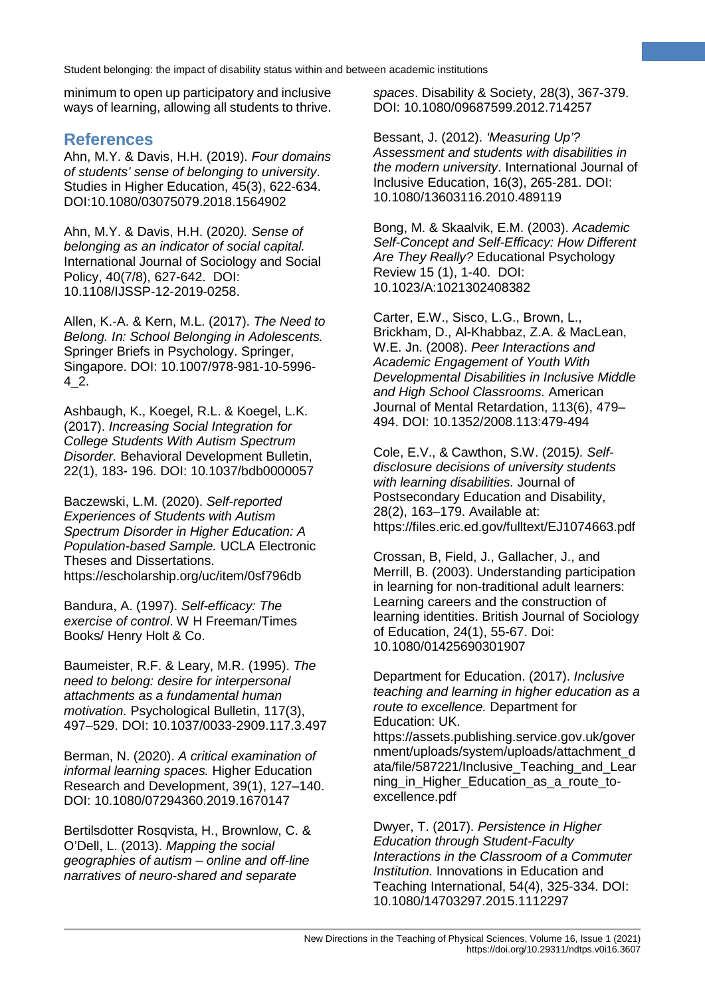minimum to open up participatory and inclusive ways of learning, allowing all students to thrive.

# **References**

Ahn, M.Y. & Davis, H.H. (2019). *Four domains of students' sense of belonging to university*. Studies in Higher Education, 45(3), 622-634. DOI:10.1080/03075079.2018.1564902

Ahn, M.Y. & Davis, H.H. (2020*). Sense of belonging as an indicator of social capital.* International Journal of Sociology and Social Policy, 40(7/8), 627-642. DOI: 10.1108/IJSSP-12-2019-0258.

Allen, K.-A. & Kern, M.L. (2017). *The Need to Belong. In: School Belonging in Adolescents.* Springer Briefs in Psychology. Springer, Singapore. DOI: 10.1007/978-981-10-5996- 4\_2.

Ashbaugh, K., Koegel, R.L. & Koegel, L.K. (2017). *Increasing Social Integration for College Students With Autism Spectrum Disorder.* Behavioral Development Bulletin, 22(1), 183- 196. DOI: 10.1037/bdb0000057

Baczewski, L.M. (2020). *Self-reported Experiences of Students with Autism Spectrum Disorder in Higher Education: A Population-based Sample.* UCLA Electronic Theses and Dissertations. https://escholarship.org/uc/item/0sf796db

Bandura, A. (1997). *Self-efficacy: The exercise of control*. W H Freeman/Times Books/ Henry Holt & Co.

Baumeister, R.F. & Leary, M.R. (1995). *The need to belong: desire for interpersonal attachments as a fundamental human motivation.* Psychological Bulletin, 117(3), 497–529. DOI: 10.1037/0033-2909.117.3.497

Berman, N. (2020). *A critical examination of informal learning spaces.* Higher Education Research and Development, 39(1), 127–140. DOI: 10.1080/07294360.2019.1670147

Bertilsdotter Rosqvista, H., Brownlow, C. & O'Dell, L. (2013). *Mapping the social geographies of autism – online and off-line narratives of neuro-shared and separate* 

*spaces*. Disability & Society, 28(3), 367-379. DOI: 10.1080/09687599.2012.714257

**9**

Bessant, J. (2012). *'Measuring Up'? Assessment and students with disabilities in the modern university*. International Journal of Inclusive Education, 16(3), 265-281. DOI: 10.1080/13603116.2010.489119

Bong, M. & Skaalvik, E.M. (2003). *Academic Self-Concept and Self-Efficacy: How Different Are They Really?* Educational Psychology Review 15 (1), 1-40. DOI: 10.1023/A:1021302408382

Carter, E.W., Sisco, L.G., Brown, L., Brickham, D., Al-Khabbaz, Z.A. & MacLean, W.E. Jn. (2008). *Peer Interactions and Academic Engagement of Youth With Developmental Disabilities in Inclusive Middle and High School Classrooms.* American Journal of Mental Retardation, 113(6), 479– 494. DOI: 10.1352/2008.113:479-494

Cole, E.V., & Cawthon, S.W. (2015*). Selfdisclosure decisions of university students with learning disabilities.* Journal of Postsecondary Education and Disability, 28(2), 163–179. Available at: https://files.eric.ed.gov/fulltext/EJ1074663.pdf

Crossan, B, Field, J., Gallacher, J., and Merrill, B. (2003). Understanding participation in learning for non-traditional adult learners: Learning careers and the construction of learning identities. British Journal of Sociology of Education, 24(1), 55-67. Doi: 10.1080/01425690301907

Department for Education. (2017). *Inclusive teaching and learning in higher education as a route to excellence.* Department for Education: UK. https://assets.publishing.service.gov.uk/gover nment/uploads/system/uploads/attachment\_d ata/file/587221/Inclusive\_Teaching\_and\_Lear ning in Higher Education as a route toexcellence.pdf

Dwyer, T. (2017). *Persistence in Higher Education through Student-Faculty Interactions in the Classroom of a Commuter Institution.* Innovations in Education and Teaching International, 54(4), 325-334. DOI: 10.1080/14703297.2015.1112297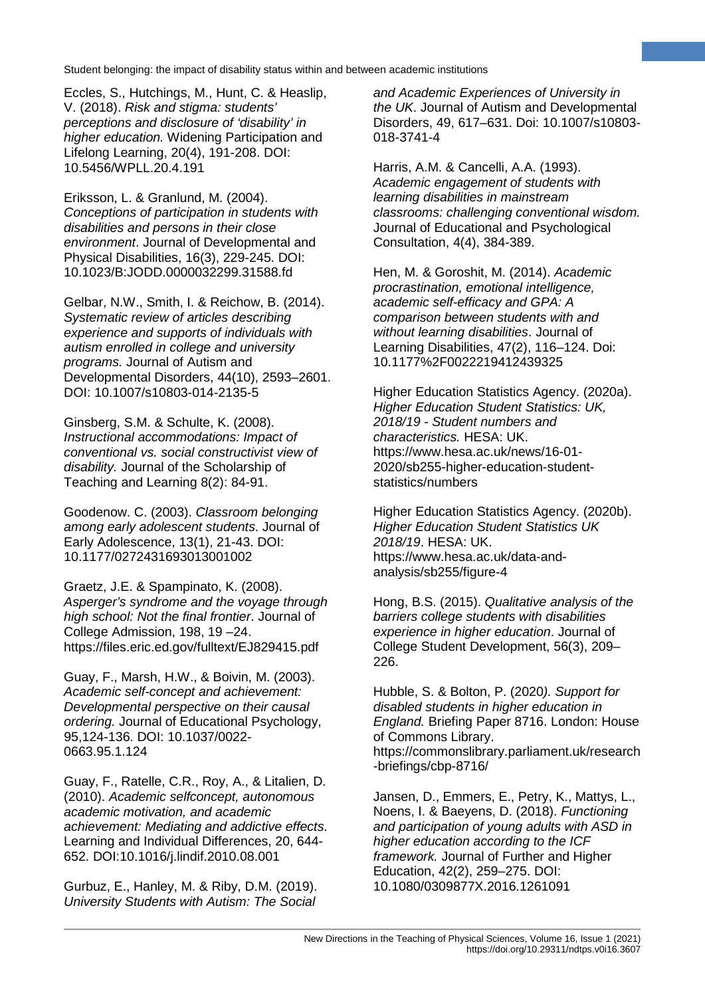Eccles, S., Hutchings, M., Hunt, C. & Heaslip, V. (2018). *Risk and stigma: students' perceptions and disclosure of 'disability' in higher education.* Widening Participation and Lifelong Learning, 20(4), 191-208. DOI: 10.5456/WPLL.20.4.191

Eriksson, L. & Granlund, M. (2004). *Conceptions of participation in students with disabilities and persons in their close environment*. Journal of Developmental and Physical Disabilities, 16(3), 229-245. DOI: 10.1023/B:JODD.0000032299.31588.fd

Gelbar, N.W., Smith, I. & Reichow, B. (2014). *Systematic review of articles describing experience and supports of individuals with autism enrolled in college and university programs.* Journal of Autism and Developmental Disorders, 44(10), 2593–2601. DOI: 10.1007/s10803-014-2135-5

Ginsberg, S.M. & Schulte, K. (2008). *Instructional accommodations: Impact of conventional vs. social constructivist view of disability.* Journal of the Scholarship of Teaching and Learning 8(2): 84-91.

Goodenow. C. (2003). *Classroom belonging among early adolescent students*. Journal of Early Adolescence, 13(1), 21-43. DOI: 10.1177/0272431693013001002

Graetz, J.E. & Spampinato, K. (2008). *Asperger's syndrome and the voyage through high school: Not the final frontier*. Journal of College Admission, 198, 19 –24. https://files.eric.ed.gov/fulltext/EJ829415.pdf

Guay, F., Marsh, H.W., & Boivin, M. (2003). *Academic self-concept and achievement: Developmental perspective on their causal ordering.* Journal of Educational Psychology, 95,124-136. DOI: 10.1037/0022- 0663.95.1.124

Guay, F., Ratelle, C.R., Roy, A., & Litalien, D. (2010). *Academic selfconcept, autonomous academic motivation, and academic achievement: Mediating and addictive effects*. Learning and Individual Differences, 20, 644- 652. DOI:10.1016/j.lindif.2010.08.001

Gurbuz, E., Hanley, M. & Riby, D.M. (2019). *University Students with Autism: The Social*

*and Academic Experiences of University in the UK*. Journal of Autism and Developmental Disorders, 49, 617–631. Doi: 10.1007/s10803- 018-3741-4

**10**

Harris, A.M. & Cancelli, A.A. (1993). *Academic engagement of students with learning disabilities in mainstream classrooms: challenging conventional wisdom.* Journal of Educational and Psychological Consultation, 4(4), 384-389.

Hen, M. & Goroshit, M. (2014). *Academic procrastination, emotional intelligence, academic self-efficacy and GPA: A comparison between students with and without learning disabilities*. Journal of Learning Disabilities, 47(2), 116–124. Doi: 10.1177%2F0022219412439325

Higher Education Statistics Agency. (2020a). *Higher Education Student Statistics: UK, 2018/19 - Student numbers and characteristics.* HESA: UK. https://www.hesa.ac.uk/news/16-01- 2020/sb255-higher-education-studentstatistics/numbers

Higher Education Statistics Agency. (2020b). *Higher Education Student Statistics UK 2018/19*. HESA: UK. https://www.hesa.ac.uk/data-andanalysis/sb255/figure-4

Hong, B.S. (2015). *Qualitative analysis of the barriers college students with disabilities experience in higher education*. Journal of College Student Development, 56(3), 209– 226.

Hubble, S. & Bolton, P. (2020*). Support for disabled students in higher education in England.* Briefing Paper 8716. London: House of Commons Library. https://commonslibrary.parliament.uk/research -briefings/cbp-8716/

Jansen, D., Emmers, E., Petry, K., Mattys, L., Noens, I. & Baeyens, D. (2018). *Functioning and participation of young adults with ASD in higher education according to the ICF framework.* Journal of Further and Higher Education, 42(2), 259–275. DOI: 10.1080/0309877X.2016.1261091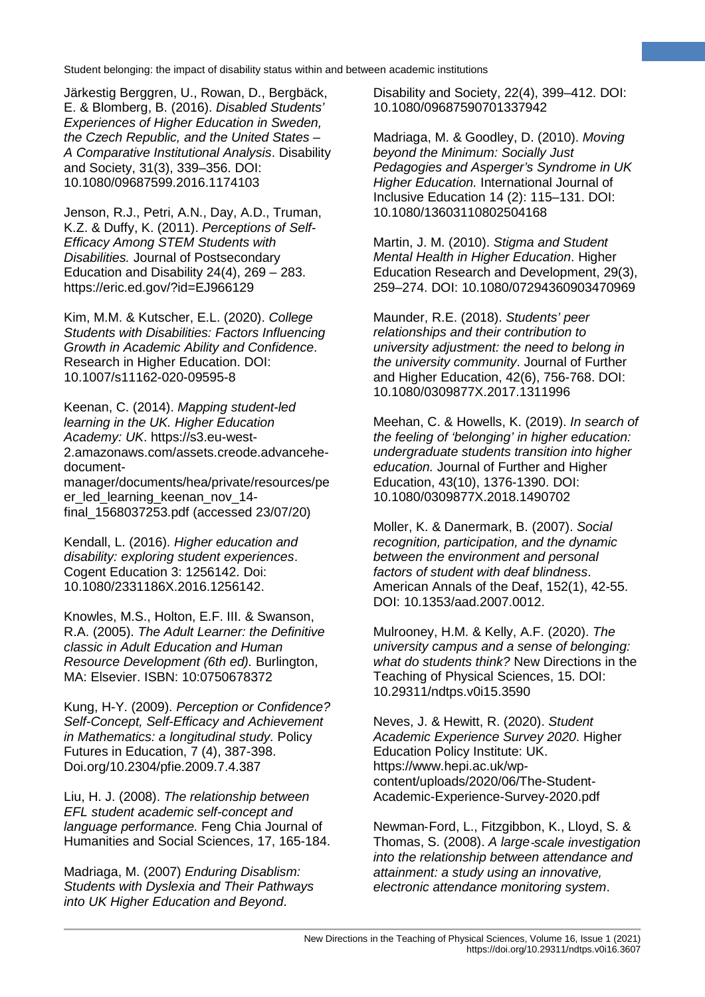Järkestig Berggren, U., Rowan, D., Bergbäck, E. & Blomberg, B. (2016). *Disabled Students' Experiences of Higher Education in Sweden, the Czech Republic, and the United States – A Comparative Institutional Analysis*. Disability and Society, 31(3), 339–356. DOI: 10.1080/09687599.2016.1174103

Jenson, R.J., Petri, A.N., Day, A.D., Truman, K.Z. & Duffy, K. (2011). *Perceptions of Self-Efficacy Among STEM Students with Disabilities.* Journal of Postsecondary Education and Disability 24(4), 269 – 283. https://eric.ed.gov/?id=EJ966129

Kim, M.M. & Kutscher, E.L. (2020). *College Students with Disabilities: Factors Influencing Growth in Academic Ability and Confidence*. Research in Higher Education. DOI: 10.1007/s11162-020-09595-8

Keenan, C. (2014). *Mapping student-led learning in the UK. Higher Education Academy: UK*. https://s3.eu-west-2.amazonaws.com/assets.creode.advancehedocumentmanager/documents/hea/private/resources/pe er led learning keenan nov 14final\_1568037253.pdf (accessed 23/07/20)

Kendall, L. (2016). *Higher education and disability: exploring student experiences*. Cogent Education 3: 1256142. Doi: 10.1080/2331186X.2016.1256142.

Knowles, M.S., Holton, E.F. III. & Swanson, R.A. (2005). *The Adult Learner: the Definitive classic in Adult Education and Human Resource Development (6th ed).* Burlington, MA: Elsevier. ISBN: 10:0750678372

Kung, H-Y. (2009). *Perception or Confidence? Self-Concept, Self-Efficacy and Achievement in Mathematics: a longitudinal study.* Policy Futures in Education, 7 (4), 387-398. Doi.org/10.2304/pfie.2009.7.4.387

Liu, H. J. (2008). *The relationship between EFL student academic self-concept and language performance.* Feng Chia Journal of Humanities and Social Sciences, 17, 165-184.

Madriaga, M. (2007) *Enduring Disablism: Students with Dyslexia and Their Pathways into UK Higher Education and Beyond*.

Disability and Society, 22(4), 399–412. DOI: 10.1080/09687590701337942

**11**

Madriaga, M. & Goodley, D. (2010). *Moving beyond the Minimum: Socially Just Pedagogies and Asperger's Syndrome in UK Higher Education.* International Journal of Inclusive Education 14 (2): 115–131. DOI: 10.1080/13603110802504168

Martin, J. M. (2010). *Stigma and Student Mental Health in Higher Education*. Higher Education Research and Development, 29(3), 259–274. DOI: 10.1080/07294360903470969

Maunder, R.E. (2018). *Students' peer relationships and their contribution to university adjustment: the need to belong in the university community*. Journal of Further and Higher Education, 42(6), 756-768. DOI: 10.1080/0309877X.2017.1311996

Meehan, C. & Howells, K. (2019). *In search of the feeling of 'belonging' in higher education: undergraduate students transition into higher education.* Journal of Further and Higher Education, 43(10), 1376-1390. DOI: 10.1080/0309877X.2018.1490702

Moller, K. & Danermark, B. (2007). *Social recognition, participation, and the dynamic between the environment and personal factors of student with deaf blindness*. American Annals of the Deaf, 152(1), 42-55. DOI: 10.1353/aad.2007.0012.

Mulrooney, H.M. & Kelly, A.F. (2020). *The university campus and a sense of belonging: what do students think?* New Directions in the Teaching of Physical Sciences, 15. DOI: 10.29311/ndtps.v0i15.3590

Neves, J. & Hewitt, R. (2020). *Student Academic Experience Survey 2020*. Higher Education Policy Institute: UK. https://www.hepi.ac.uk/wpcontent/uploads/2020/06/The-Student-Academic-Experience-Survey-2020.pdf

Newman‐Ford, L., Fitzgibbon, K., Lloyd, S. & Thomas, S. (2008). *A large*‐*scale investigation into the relationship between attendance and attainment: a study using an innovative, electronic attendance monitoring system*.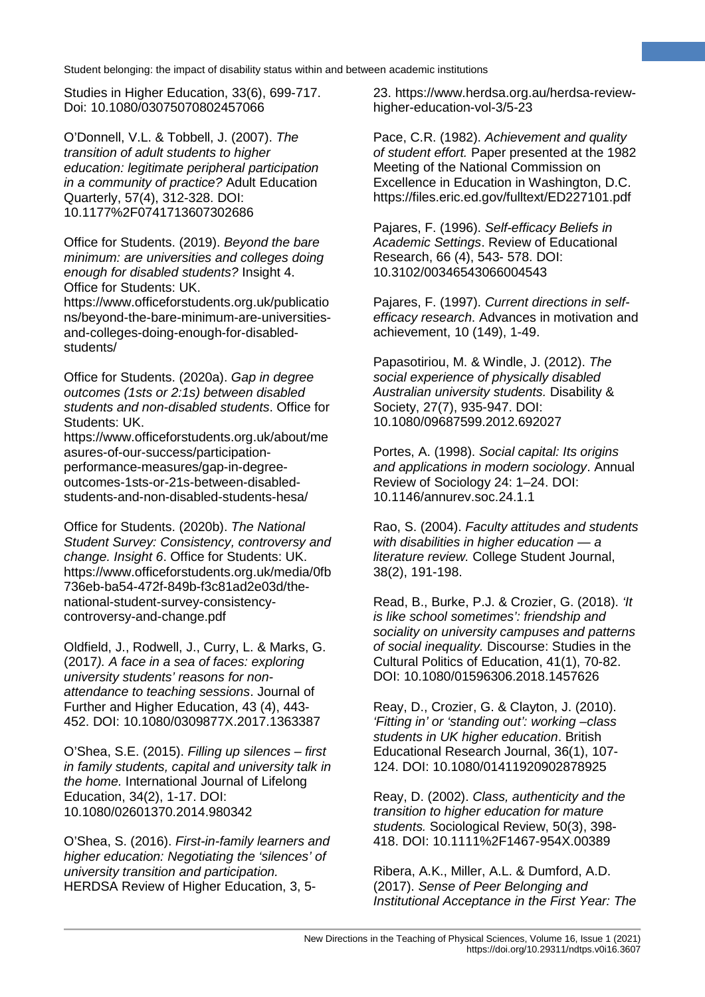Studies in Higher Education, 33(6), 699-717. Doi: 10.1080/03075070802457066

O'Donnell, V.L. & Tobbell, J. (2007). *The transition of adult students to higher education: legitimate peripheral participation in a community of practice?* Adult Education Quarterly, 57(4), 312-328. DOI: 10.1177%2F0741713607302686

Office for Students. (2019). *Beyond the bare minimum: are universities and colleges doing enough for disabled students?* Insight 4. Office for Students: UK.

https://www.officeforstudents.org.uk/publicatio ns/beyond-the-bare-minimum-are-universitiesand-colleges-doing-enough-for-disabledstudents/

Office for Students. (2020a). *Gap in degree outcomes (1sts or 2:1s) between disabled students and non-disabled students*. Office for Students: UK.

https://www.officeforstudents.org.uk/about/me asures-of-our-success/participationperformance-measures/gap-in-degreeoutcomes-1sts-or-21s-between-disabledstudents-and-non-disabled-students-hesa/

Office for Students. (2020b). *The National Student Survey: Consistency, controversy and change. Insight 6*. Office for Students: UK. https://www.officeforstudents.org.uk/media/0fb 736eb-ba54-472f-849b-f3c81ad2e03d/thenational-student-survey-consistencycontroversy-and-change.pdf

Oldfield, J., Rodwell, J., Curry, L. & Marks, G. (2017*). A face in a sea of faces: exploring university students' reasons for nonattendance to teaching sessions*. Journal of Further and Higher Education, 43 (4), 443- 452. DOI: 10.1080/0309877X.2017.1363387

O'Shea, S.E. (2015). *Filling up silences – first in family students, capital and university talk in the home.* International Journal of Lifelong Education, 34(2), 1-17. DOI: 10.1080/02601370.2014.980342

O'Shea, S. (2016). *First-in-family learners and higher education: Negotiating the 'silences' of university transition and participation.* HERDSA Review of Higher Education, 3, 523. https://www.herdsa.org.au/herdsa-reviewhigher-education-vol-3/5-23

**12**

Pace, C.R. (1982). *Achievement and quality of student effort.* Paper presented at the 1982 Meeting of the National Commission on Excellence in Education in Washington, D.C. https://files.eric.ed.gov/fulltext/ED227101.pdf

Pajares, F. (1996). *Self-efficacy Beliefs in Academic Settings*. Review of Educational Research, 66 (4), 543- 578. DOI: 10.3102/00346543066004543

Pajares, F. (1997). *Current directions in selfefficacy research*. Advances in motivation and achievement, 10 (149), 1-49.

Papasotiriou, M. & Windle, J. (2012). *The social experience of physically disabled Australian university students.* Disability & Society, 27(7), 935-947. DOI: 10.1080/09687599.2012.692027

Portes, A. (1998). *Social capital: Its origins and applications in modern sociology*. Annual Review of Sociology 24: 1–24. DOI: 10.1146/annurev.soc.24.1.1

Rao, S. (2004). *Faculty attitudes and students with disabilities in higher education — a literature review.* College Student Journal, 38(2), 191-198.

Read, B., Burke, P.J. & Crozier, G. (2018). *'It is like school sometimes': friendship and sociality on university campuses and patterns of social inequality.* Discourse: Studies in the Cultural Politics of Education, 41(1), 70-82. DOI: 10.1080/01596306.2018.1457626

Reay, D., Crozier, G. & Clayton, J. (2010). *'Fitting in' or 'standing out': working –class students in UK higher education*. British Educational Research Journal, 36(1), 107- 124. DOI: 10.1080/01411920902878925

Reay, D. (2002). *Class, authenticity and the transition to higher education for mature students.* Sociological Review, 50(3), 398- 418. DOI: 10.1111%2F1467-954X.00389

Ribera, A.K., Miller, A.L. & Dumford, A.D. (2017). *Sense of Peer Belonging and Institutional Acceptance in the First Year: The*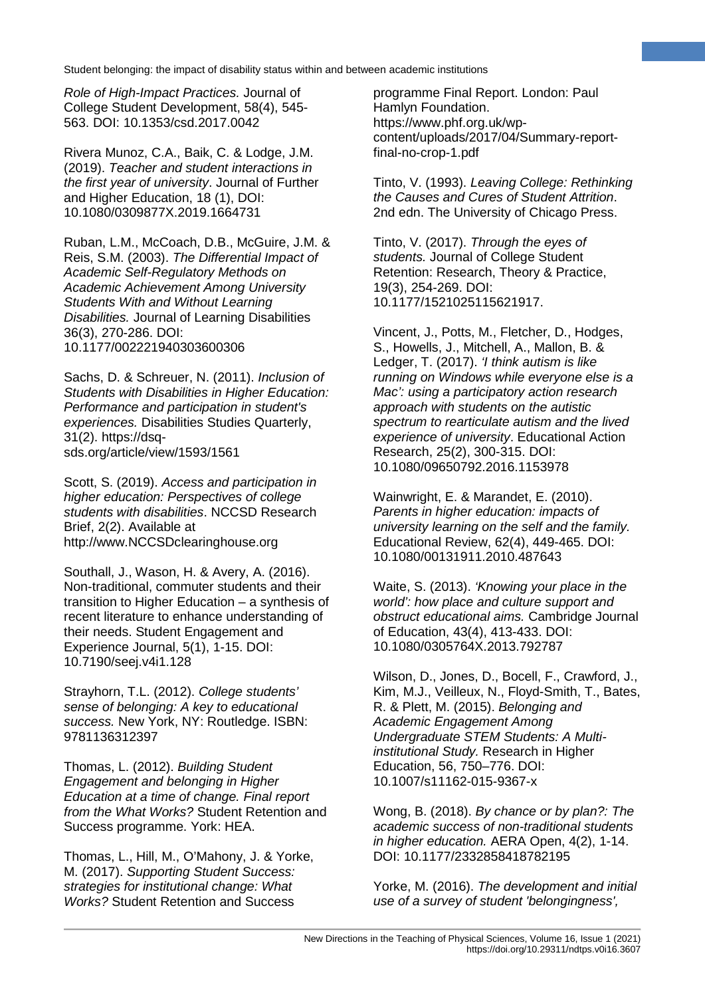*Role of High-Impact Practices.* Journal of College Student Development, 58(4), 545- 563. DOI: 10.1353/csd.2017.0042

Rivera Munoz, C.A., Baik, C. & Lodge, J.M. (2019). *Teacher and student interactions in the first year of university*. Journal of Further and Higher Education, 18 (1), DOI: 10.1080/0309877X.2019.1664731

Ruban, L.M., McCoach, D.B., McGuire, J.M. & Reis, S.M. (2003). *The Differential Impact of Academic Self-Regulatory Methods on Academic Achievement Among University Students With and Without Learning Disabilities.* Journal of Learning Disabilities 36(3), 270-286. DOI: 10.1177/002221940303600306

Sachs, D. & Schreuer, N. (2011). *Inclusion of Students with Disabilities in Higher Education: Performance and participation in student's experiences.* Disabilities Studies Quarterly, 31(2). https://dsqsds.org/article/view/1593/1561

Scott, S. (2019). *Access and participation in higher education: Perspectives of college students with disabilities*. NCCSD Research Brief, 2(2). Available at http://www.NCCSDclearinghouse.org

Southall, J., Wason, H. & Avery, A. (2016). Non-traditional, commuter students and their transition to Higher Education – a synthesis of recent literature to enhance understanding of their needs. Student Engagement and Experience Journal, 5(1), 1-15. DOI: 10.7190/seej.v4i1.128

Strayhorn, T.L. (2012). *College students' sense of belonging: A key to educational success.* New York, NY: Routledge. ISBN: 9781136312397

Thomas, L. (2012). *Building Student Engagement and belonging in Higher Education at a time of change. Final report from the What Works?* Student Retention and Success programme. York: HEA.

Thomas, L., Hill, M., O'Mahony, J. & Yorke, M. (2017). *Supporting Student Success: strategies for institutional change: What Works?* Student Retention and Success

programme Final Report. London: Paul Hamlyn Foundation. https://www.phf.org.uk/wpcontent/uploads/2017/04/Summary-reportfinal-no-crop-1.pdf

**13**

Tinto, V. (1993). *Leaving College: Rethinking the Causes and Cures of Student Attrition*. 2nd edn. The University of Chicago Press.

Tinto, V. (2017). *Through the eyes of students.* Journal of College Student Retention: Research, Theory & Practice, 19(3), 254-269. DOI: 10.1177/1521025115621917.

Vincent, J., Potts, M., Fletcher, D., Hodges, S., Howells, J., Mitchell, A., Mallon, B. & Ledger, T. (2017). *'I think autism is like running on Windows while everyone else is a Mac': using a participatory action research approach with students on the autistic spectrum to rearticulate autism and the lived experience of university*. Educational Action Research, 25(2), 300-315. DOI: 10.1080/09650792.2016.1153978

Wainwright, E. & Marandet, E. (2010). *Parents in higher education: impacts of university learning on the self and the family.* Educational Review, 62(4), 449-465. DOI: 10.1080/00131911.2010.487643

Waite, S. (2013). *'Knowing your place in the world': how place and culture support and obstruct educational aims.* Cambridge Journal of Education, 43(4), 413-433. DOI: 10.1080/0305764X.2013.792787

Wilson, D., Jones, D., Bocell, F., Crawford, J., Kim, M.J., Veilleux, N., Floyd-Smith, T., Bates, R. & Plett, M. (2015). *Belonging and Academic Engagement Among Undergraduate STEM Students: A Multiinstitutional Study.* Research in Higher Education, 56, 750–776. DOI: 10.1007/s11162-015-9367-x

Wong, B. (2018). *By chance or by plan?: The academic success of non-traditional students in higher education.* AERA Open, 4(2), 1-14. DOI: 10.1177/2332858418782195

Yorke, M. (2016). *The development and initial use of a survey of student 'belongingness',*